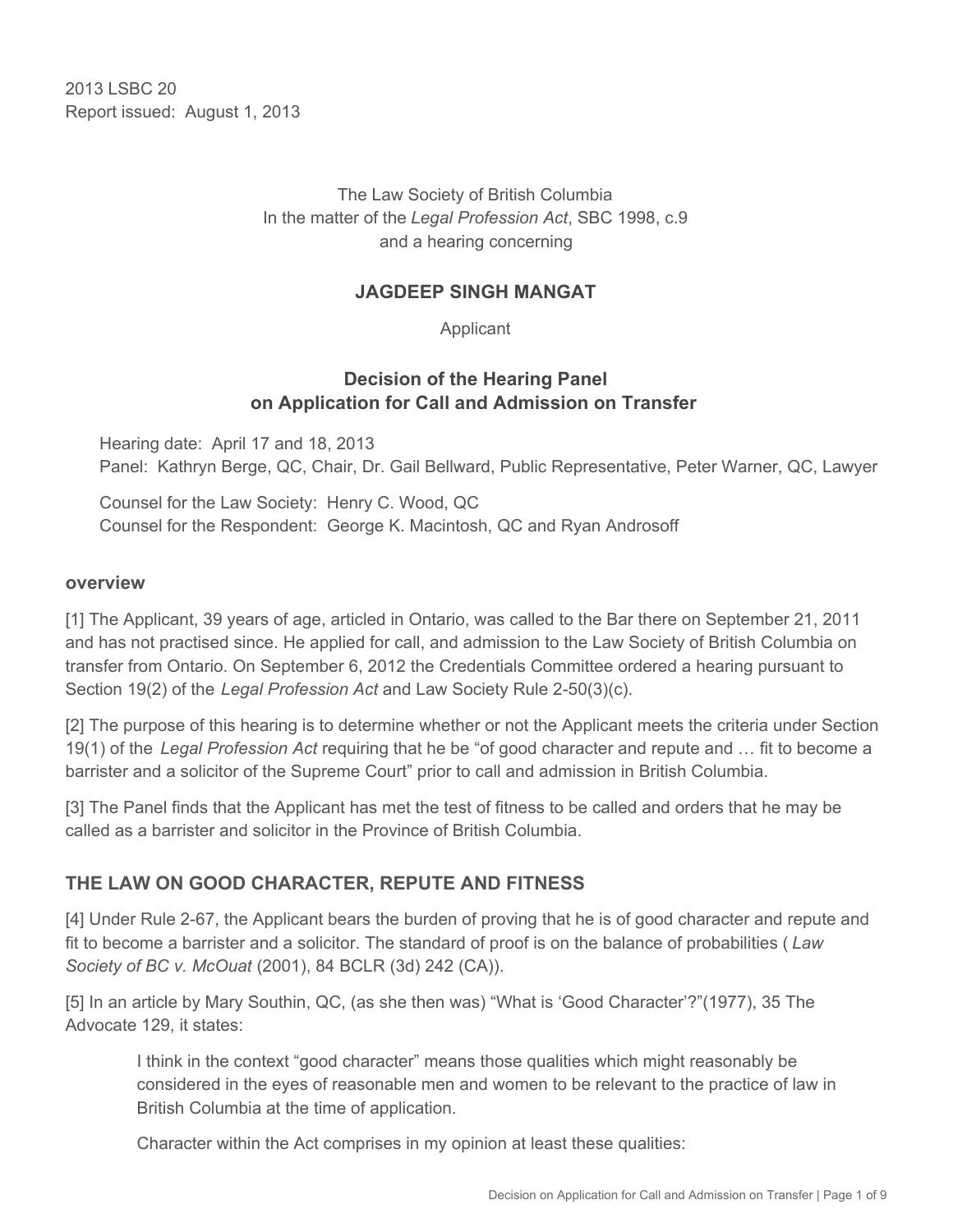2013 LSBC 20 Report issued: August 1, 2013

> The Law Society of British Columbia In the matter of the *Legal Profession Act*, SBC 1998, c.9 and a hearing concerning

#### **JAGDEEP SINGH MANGAT**

Applicant

### **Decision of the Hearing Panel on Application for Call and Admission on Transfer**

Hearing date: April 17 and 18, 2013 Panel: Kathryn Berge, QC, Chair, Dr. Gail Bellward, Public Representative, Peter Warner, QC, Lawyer

Counsel for the Law Society: Henry C. Wood, QC Counsel for the Respondent: George K. Macintosh, QC and Ryan Androsoff

#### **overview**

[1] The Applicant, 39 years of age, articled in Ontario, was called to the Bar there on September 21, 2011 and has not practised since. He applied for call, and admission to the Law Society of British Columbia on transfer from Ontario. On September 6, 2012 the Credentials Committee ordered a hearing pursuant to Section 19(2) of the *Legal Profession Act* and Law Society Rule 2-50(3)(c).

[2] The purpose of this hearing is to determine whether or not the Applicant meets the criteria under Section 19(1) of the *Legal Profession Act* requiring that he be "of good character and repute and … fit to become a barrister and a solicitor of the Supreme Court" prior to call and admission in British Columbia.

[3] The Panel finds that the Applicant has met the test of fitness to be called and orders that he may be called as a barrister and solicitor in the Province of British Columbia.

## **THE LAW ON GOOD CHARACTER, REPUTE AND FITNESS**

[4] Under Rule 2-67, the Applicant bears the burden of proving that he is of good character and repute and fit to become a barrister and a solicitor. The standard of proof is on the balance of probabilities ( *Law Society of BC v. McOuat* (2001), 84 BCLR (3d) 242 (CA)).

[5] In an article by Mary Southin, QC, (as she then was) "What is 'Good Character'?"(1977), 35 The Advocate 129, it states:

I think in the context "good character" means those qualities which might reasonably be considered in the eyes of reasonable men and women to be relevant to the practice of law in British Columbia at the time of application.

Character within the Act comprises in my opinion at least these qualities: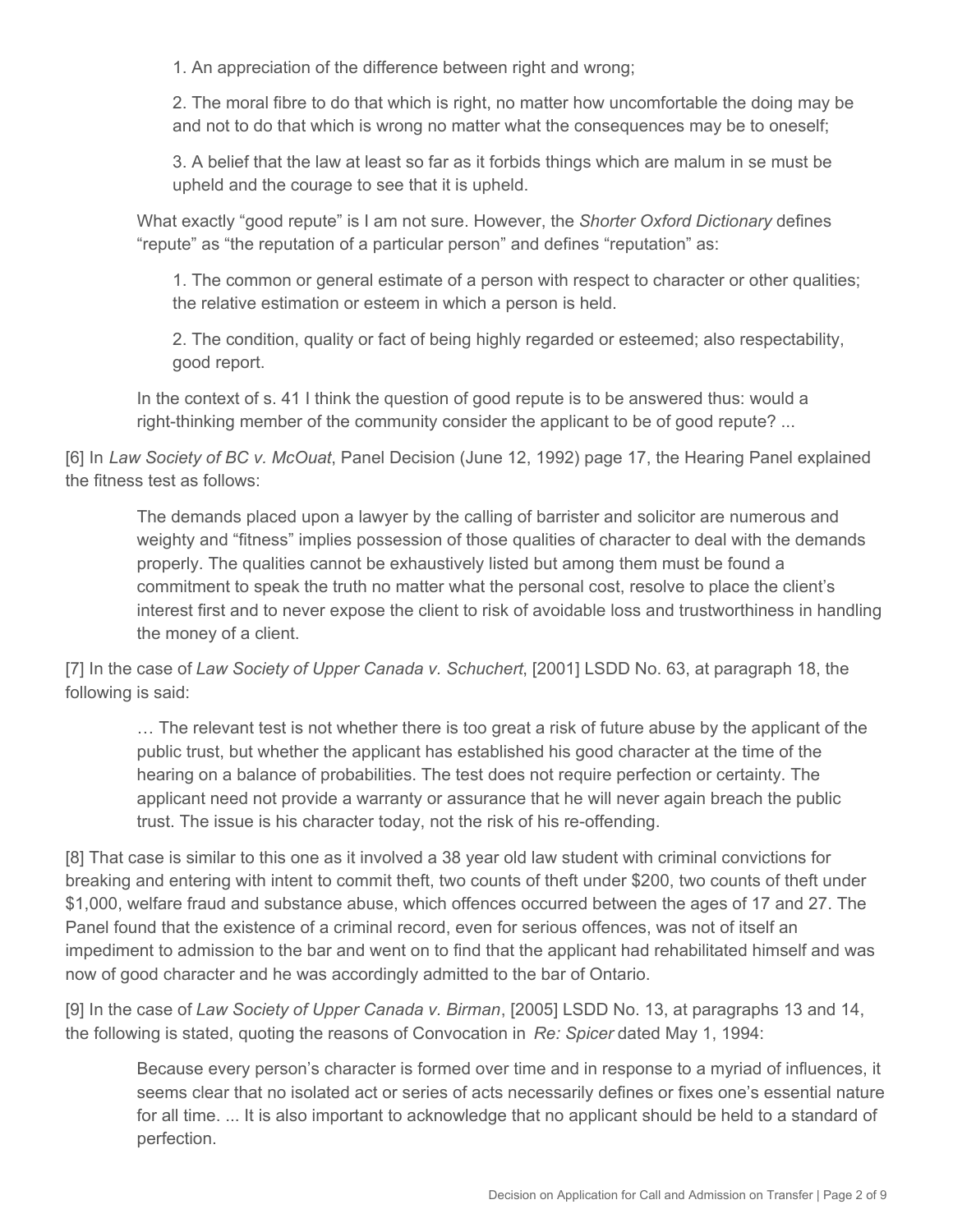1. An appreciation of the difference between right and wrong;

2. The moral fibre to do that which is right, no matter how uncomfortable the doing may be and not to do that which is wrong no matter what the consequences may be to oneself;

3. A belief that the law at least so far as it forbids things which are malum in se must be upheld and the courage to see that it is upheld.

What exactly "good repute" is I am not sure. However, the *Shorter Oxford Dictionary* defines "repute" as "the reputation of a particular person" and defines "reputation" as:

1. The common or general estimate of a person with respect to character or other qualities; the relative estimation or esteem in which a person is held.

2. The condition, quality or fact of being highly regarded or esteemed; also respectability, good report.

In the context of s. 41 I think the question of good repute is to be answered thus: would a right-thinking member of the community consider the applicant to be of good repute? ...

[6] In *Law Society of BC v. McOuat*, Panel Decision (June 12, 1992) page 17, the Hearing Panel explained the fitness test as follows:

The demands placed upon a lawyer by the calling of barrister and solicitor are numerous and weighty and "fitness" implies possession of those qualities of character to deal with the demands properly. The qualities cannot be exhaustively listed but among them must be found a commitment to speak the truth no matter what the personal cost, resolve to place the client's interest first and to never expose the client to risk of avoidable loss and trustworthiness in handling the money of a client.

[7] In the case of *Law Society of Upper Canada v. Schuchert*, [2001] LSDD No. 63, at paragraph 18, the following is said:

… The relevant test is not whether there is too great a risk of future abuse by the applicant of the public trust, but whether the applicant has established his good character at the time of the hearing on a balance of probabilities. The test does not require perfection or certainty. The applicant need not provide a warranty or assurance that he will never again breach the public trust. The issue is his character today, not the risk of his re-offending.

[8] That case is similar to this one as it involved a 38 year old law student with criminal convictions for breaking and entering with intent to commit theft, two counts of theft under \$200, two counts of theft under \$1,000, welfare fraud and substance abuse, which offences occurred between the ages of 17 and 27. The Panel found that the existence of a criminal record, even for serious offences, was not of itself an impediment to admission to the bar and went on to find that the applicant had rehabilitated himself and was now of good character and he was accordingly admitted to the bar of Ontario.

[9] In the case of *Law Society of Upper Canada v. Birman*, [2005] LSDD No. 13, at paragraphs 13 and 14, the following is stated, quoting the reasons of Convocation in *Re: Spicer* dated May 1, 1994:

Because every person's character is formed over time and in response to a myriad of influences, it seems clear that no isolated act or series of acts necessarily defines or fixes one's essential nature for all time. ... It is also important to acknowledge that no applicant should be held to a standard of perfection.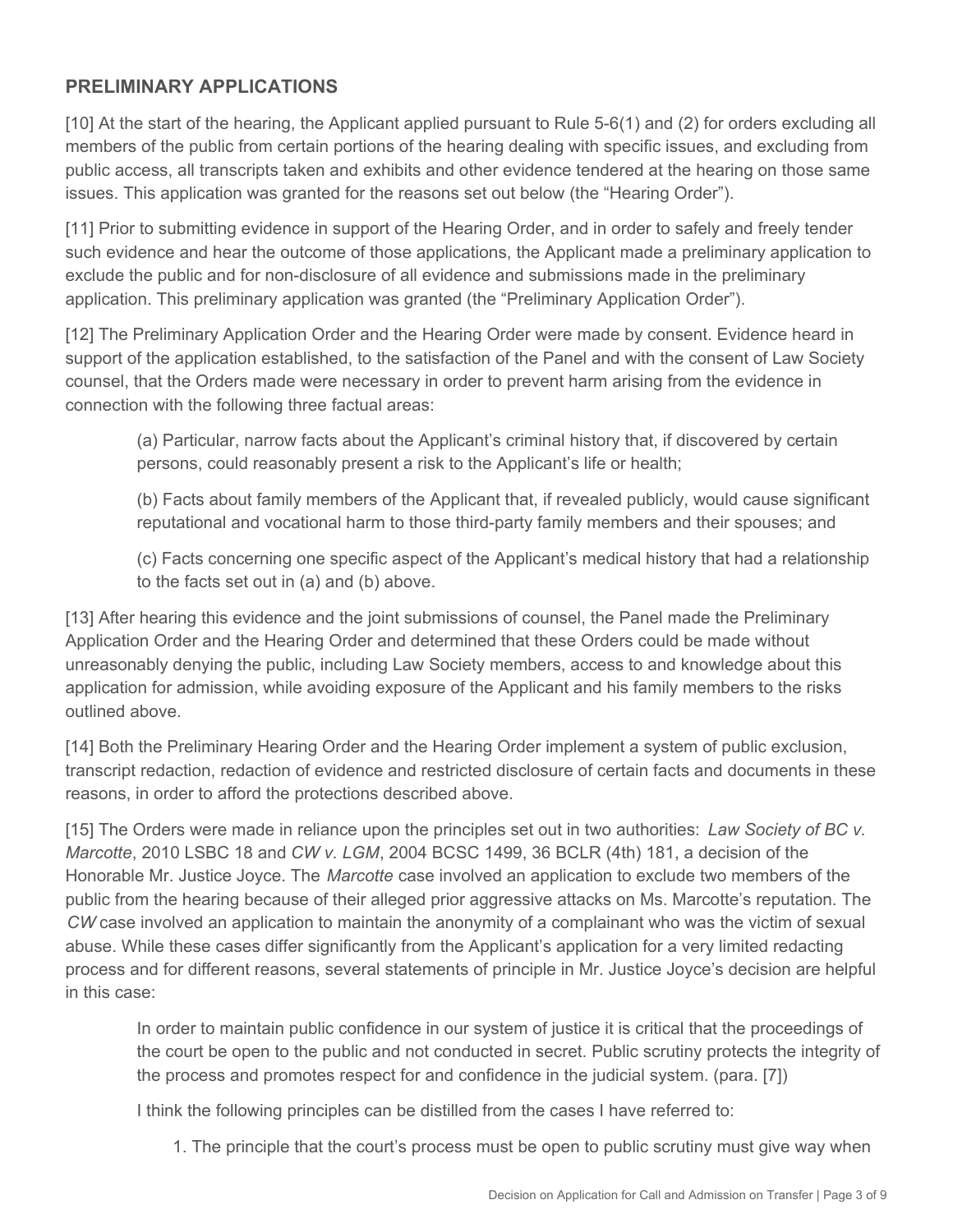### **PRELIMINARY APPLICATIONS**

[10] At the start of the hearing, the Applicant applied pursuant to Rule 5-6(1) and (2) for orders excluding all members of the public from certain portions of the hearing dealing with specific issues, and excluding from public access, all transcripts taken and exhibits and other evidence tendered at the hearing on those same issues. This application was granted for the reasons set out below (the "Hearing Order").

[11] Prior to submitting evidence in support of the Hearing Order, and in order to safely and freely tender such evidence and hear the outcome of those applications, the Applicant made a preliminary application to exclude the public and for non-disclosure of all evidence and submissions made in the preliminary application. This preliminary application was granted (the "Preliminary Application Order").

[12] The Preliminary Application Order and the Hearing Order were made by consent. Evidence heard in support of the application established, to the satisfaction of the Panel and with the consent of Law Society counsel, that the Orders made were necessary in order to prevent harm arising from the evidence in connection with the following three factual areas:

(a) Particular, narrow facts about the Applicant's criminal history that, if discovered by certain persons, could reasonably present a risk to the Applicant's life or health;

(b) Facts about family members of the Applicant that, if revealed publicly, would cause significant reputational and vocational harm to those third-party family members and their spouses; and

(c) Facts concerning one specific aspect of the Applicant's medical history that had a relationship to the facts set out in (a) and (b) above.

[13] After hearing this evidence and the joint submissions of counsel, the Panel made the Preliminary Application Order and the Hearing Order and determined that these Orders could be made without unreasonably denying the public, including Law Society members, access to and knowledge about this application for admission, while avoiding exposure of the Applicant and his family members to the risks outlined above.

[14] Both the Preliminary Hearing Order and the Hearing Order implement a system of public exclusion, transcript redaction, redaction of evidence and restricted disclosure of certain facts and documents in these reasons, in order to afford the protections described above.

[15] The Orders were made in reliance upon the principles set out in two authorities: *Law Society of BC v. Marcotte*, 2010 LSBC 18 and *CW v. LGM*, 2004 BCSC 1499, 36 BCLR (4th) 181, a decision of the Honorable Mr. Justice Joyce. The *Marcotte* case involved an application to exclude two members of the public from the hearing because of their alleged prior aggressive attacks on Ms. Marcotte's reputation. The *CW* case involved an application to maintain the anonymity of a complainant who was the victim of sexual abuse. While these cases differ significantly from the Applicant's application for a very limited redacting process and for different reasons, several statements of principle in Mr. Justice Joyce's decision are helpful in this case:

In order to maintain public confidence in our system of justice it is critical that the proceedings of the court be open to the public and not conducted in secret. Public scrutiny protects the integrity of the process and promotes respect for and confidence in the judicial system. (para. [7])

I think the following principles can be distilled from the cases I have referred to:

1. The principle that the court's process must be open to public scrutiny must give way when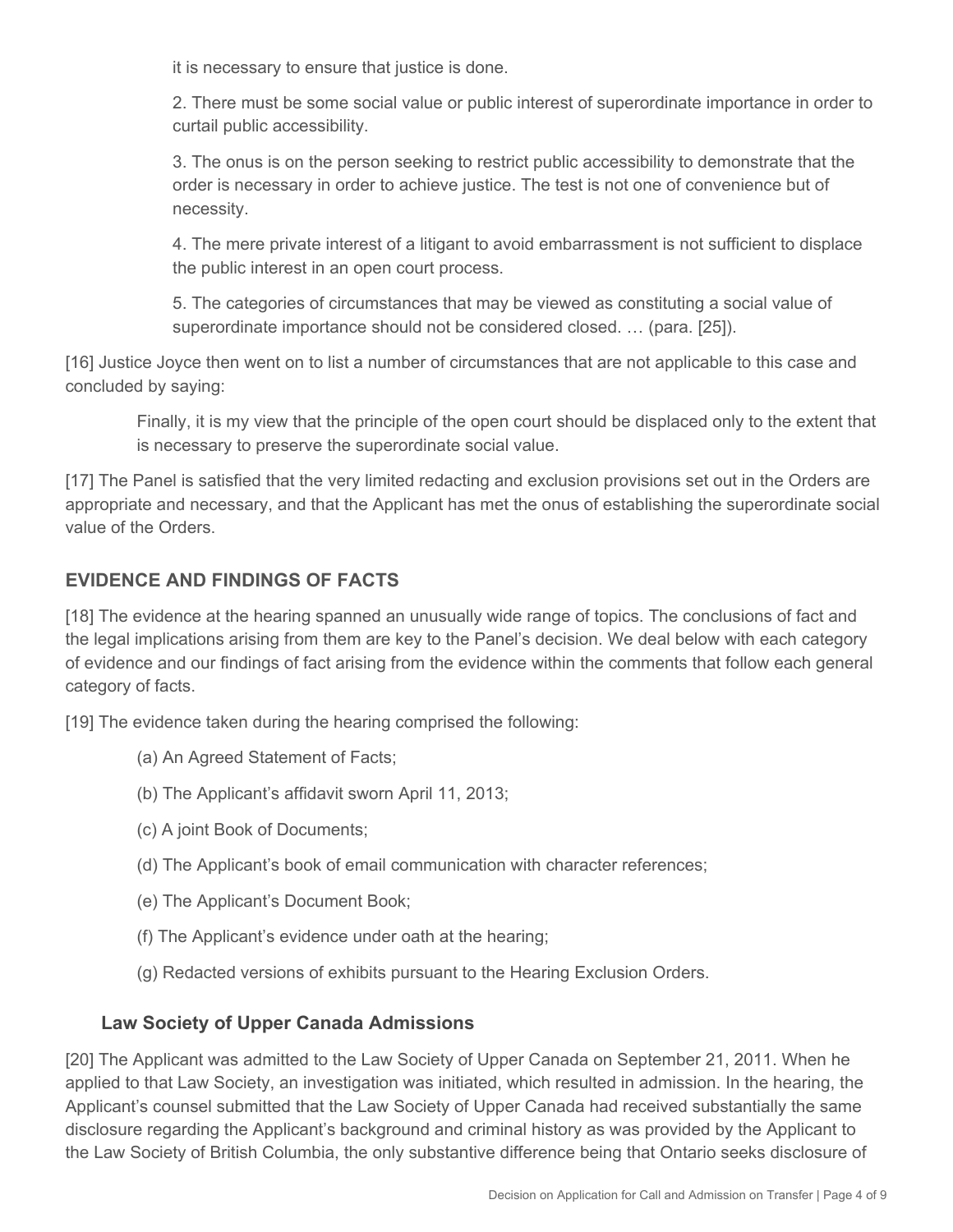it is necessary to ensure that justice is done.

2. There must be some social value or public interest of superordinate importance in order to curtail public accessibility.

3. The onus is on the person seeking to restrict public accessibility to demonstrate that the order is necessary in order to achieve justice. The test is not one of convenience but of necessity.

4. The mere private interest of a litigant to avoid embarrassment is not sufficient to displace the public interest in an open court process.

5. The categories of circumstances that may be viewed as constituting a social value of superordinate importance should not be considered closed. … (para. [25]).

[16] Justice Joyce then went on to list a number of circumstances that are not applicable to this case and concluded by saying:

Finally, it is my view that the principle of the open court should be displaced only to the extent that is necessary to preserve the superordinate social value.

[17] The Panel is satisfied that the very limited redacting and exclusion provisions set out in the Orders are appropriate and necessary, and that the Applicant has met the onus of establishing the superordinate social value of the Orders.

## **EVIDENCE AND FINDINGS OF FACTS**

[18] The evidence at the hearing spanned an unusually wide range of topics. The conclusions of fact and the legal implications arising from them are key to the Panel's decision. We deal below with each category of evidence and our findings of fact arising from the evidence within the comments that follow each general category of facts.

[19] The evidence taken during the hearing comprised the following:

- (a) An Agreed Statement of Facts;
- (b) The Applicant's affidavit sworn April 11, 2013;
- (c) A joint Book of Documents;
- (d) The Applicant's book of email communication with character references;
- (e) The Applicant's Document Book;
- (f) The Applicant's evidence under oath at the hearing;
- (g) Redacted versions of exhibits pursuant to the Hearing Exclusion Orders.

## **Law Society of Upper Canada Admissions**

[20] The Applicant was admitted to the Law Society of Upper Canada on September 21, 2011. When he applied to that Law Society, an investigation was initiated, which resulted in admission. In the hearing, the Applicant's counsel submitted that the Law Society of Upper Canada had received substantially the same disclosure regarding the Applicant's background and criminal history as was provided by the Applicant to the Law Society of British Columbia, the only substantive difference being that Ontario seeks disclosure of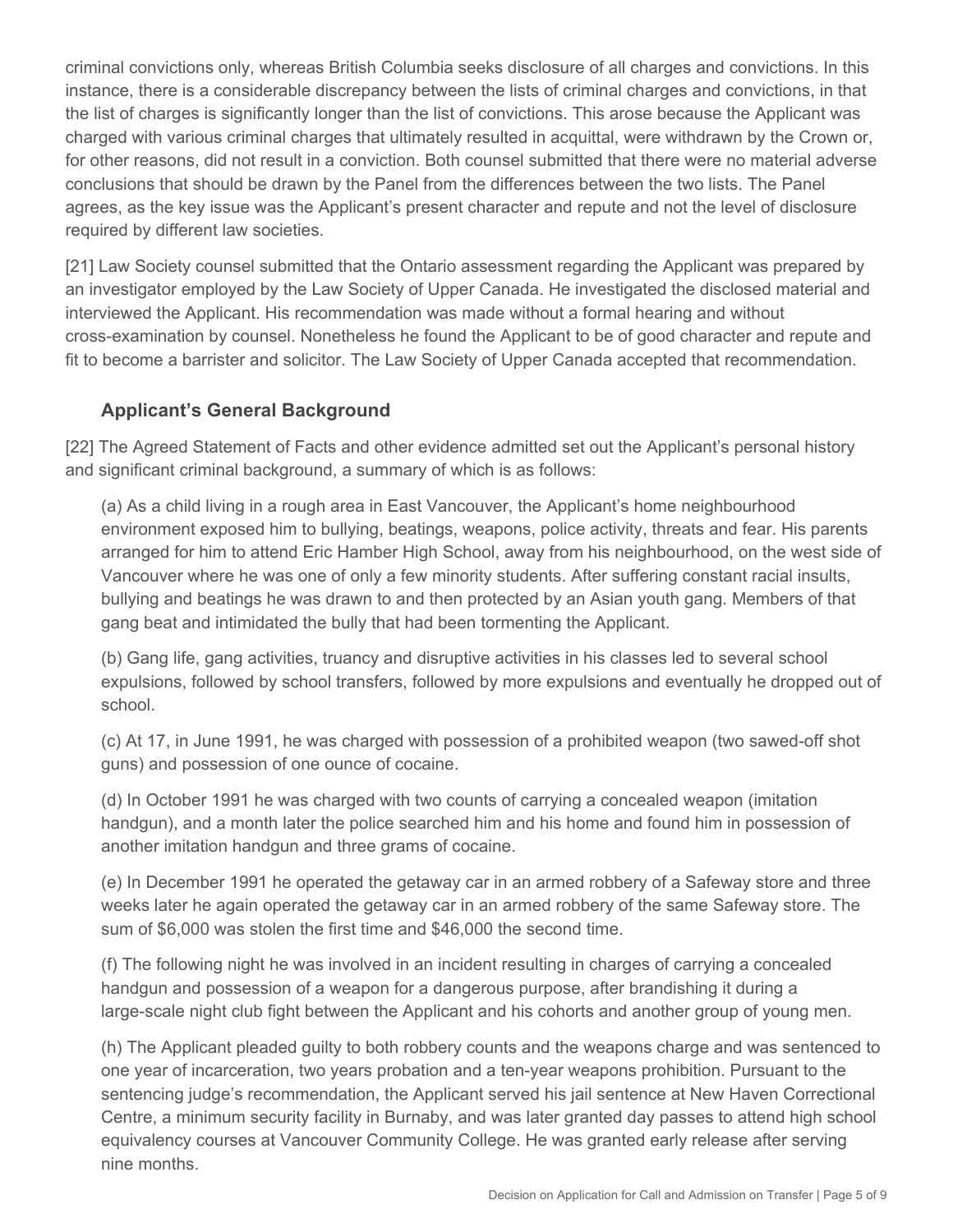criminal convictions only, whereas British Columbia seeks disclosure of all charges and convictions. In this instance, there is a considerable discrepancy between the lists of criminal charges and convictions, in that the list of charges is significantly longer than the list of convictions. This arose because the Applicant was charged with various criminal charges that ultimately resulted in acquittal, were withdrawn by the Crown or, for other reasons, did not result in a conviction. Both counsel submitted that there were no material adverse conclusions that should be drawn by the Panel from the differences between the two lists. The Panel agrees, as the key issue was the Applicant's present character and repute and not the level of disclosure required by different law societies.

[21] Law Society counsel submitted that the Ontario assessment regarding the Applicant was prepared by an investigator employed by the Law Society of Upper Canada. He investigated the disclosed material and interviewed the Applicant. His recommendation was made without a formal hearing and without cross-examination by counsel. Nonetheless he found the Applicant to be of good character and repute and fit to become a barrister and solicitor. The Law Society of Upper Canada accepted that recommendation.

## **Applicant's General Background**

[22] The Agreed Statement of Facts and other evidence admitted set out the Applicant's personal history and significant criminal background, a summary of which is as follows:

(a) As a child living in a rough area in East Vancouver, the Applicant's home neighbourhood environment exposed him to bullying, beatings, weapons, police activity, threats and fear. His parents arranged for him to attend Eric Hamber High School, away from his neighbourhood, on the west side of Vancouver where he was one of only a few minority students. After suffering constant racial insults, bullying and beatings he was drawn to and then protected by an Asian youth gang. Members of that gang beat and intimidated the bully that had been tormenting the Applicant.

(b) Gang life, gang activities, truancy and disruptive activities in his classes led to several school expulsions, followed by school transfers, followed by more expulsions and eventually he dropped out of school.

(c) At 17, in June 1991, he was charged with possession of a prohibited weapon (two sawed-off shot guns) and possession of one ounce of cocaine.

(d) In October 1991 he was charged with two counts of carrying a concealed weapon (imitation handgun), and a month later the police searched him and his home and found him in possession of another imitation handgun and three grams of cocaine.

(e) In December 1991 he operated the getaway car in an armed robbery of a Safeway store and three weeks later he again operated the getaway car in an armed robbery of the same Safeway store. The sum of \$6,000 was stolen the first time and \$46,000 the second time.

(f) The following night he was involved in an incident resulting in charges of carrying a concealed handgun and possession of a weapon for a dangerous purpose, after brandishing it during a large-scale night club fight between the Applicant and his cohorts and another group of young men.

(h) The Applicant pleaded guilty to both robbery counts and the weapons charge and was sentenced to one year of incarceration, two years probation and a ten-year weapons prohibition. Pursuant to the sentencing judge's recommendation, the Applicant served his jail sentence at New Haven Correctional Centre, a minimum security facility in Burnaby, and was later granted day passes to attend high school equivalency courses at Vancouver Community College. He was granted early release after serving nine months.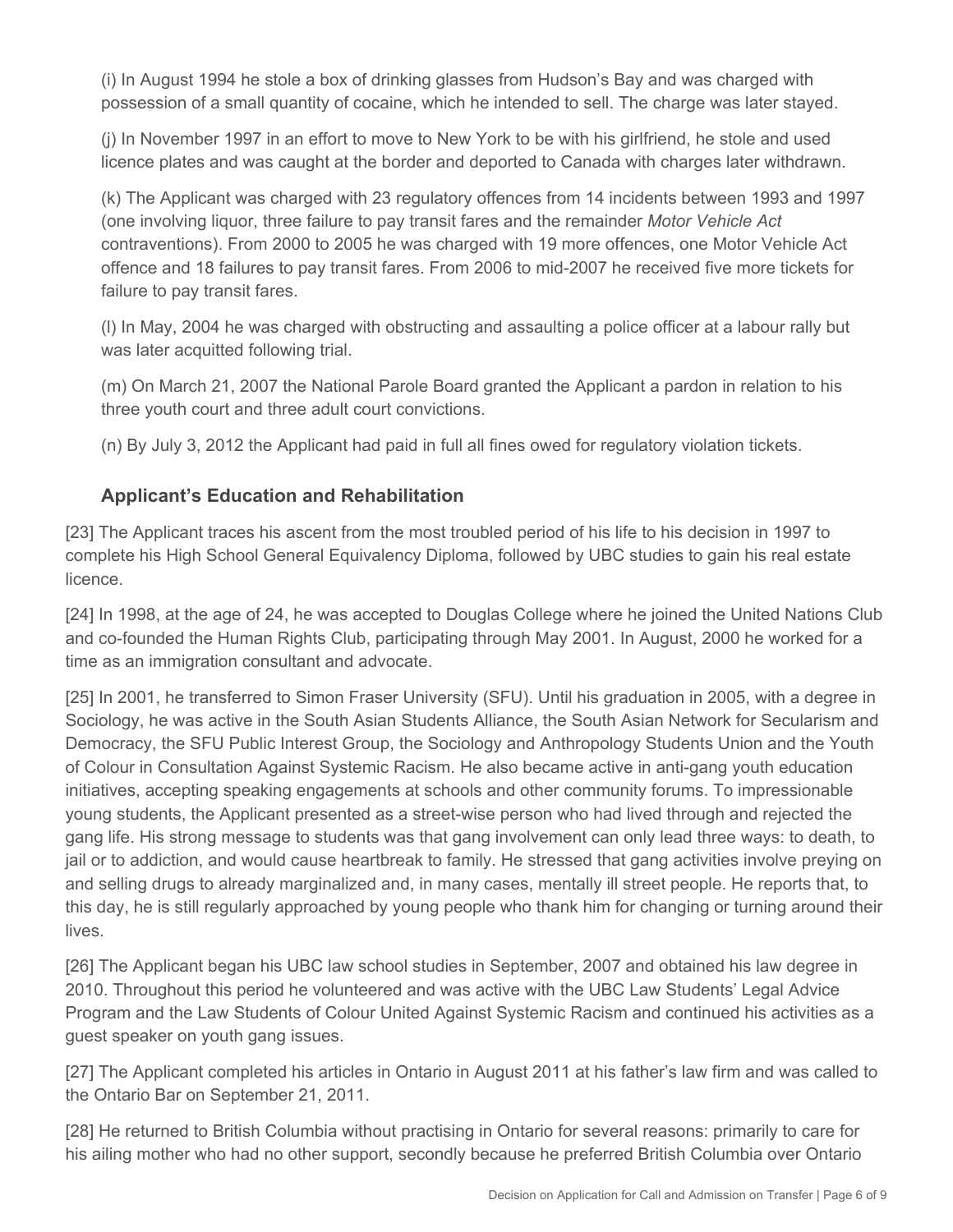(i) In August 1994 he stole a box of drinking glasses from Hudson's Bay and was charged with possession of a small quantity of cocaine, which he intended to sell. The charge was later stayed.

(j) In November 1997 in an effort to move to New York to be with his girlfriend, he stole and used licence plates and was caught at the border and deported to Canada with charges later withdrawn.

(k) The Applicant was charged with 23 regulatory offences from 14 incidents between 1993 and 1997 (one involving liquor, three failure to pay transit fares and the remainder *Motor Vehicle Act*  contraventions). From 2000 to 2005 he was charged with 19 more offences, one Motor Vehicle Act offence and 18 failures to pay transit fares. From 2006 to mid-2007 he received five more tickets for failure to pay transit fares.

(l) In May, 2004 he was charged with obstructing and assaulting a police officer at a labour rally but was later acquitted following trial.

(m) On March 21, 2007 the National Parole Board granted the Applicant a pardon in relation to his three youth court and three adult court convictions.

(n) By July 3, 2012 the Applicant had paid in full all fines owed for regulatory violation tickets.

# **Applicant's Education and Rehabilitation**

[23] The Applicant traces his ascent from the most troubled period of his life to his decision in 1997 to complete his High School General Equivalency Diploma, followed by UBC studies to gain his real estate licence.

[24] In 1998, at the age of 24, he was accepted to Douglas College where he joined the United Nations Club and co-founded the Human Rights Club, participating through May 2001. In August, 2000 he worked for a time as an immigration consultant and advocate.

[25] In 2001, he transferred to Simon Fraser University (SFU). Until his graduation in 2005, with a degree in Sociology, he was active in the South Asian Students Alliance, the South Asian Network for Secularism and Democracy, the SFU Public Interest Group, the Sociology and Anthropology Students Union and the Youth of Colour in Consultation Against Systemic Racism. He also became active in anti-gang youth education initiatives, accepting speaking engagements at schools and other community forums. To impressionable young students, the Applicant presented as a street-wise person who had lived through and rejected the gang life. His strong message to students was that gang involvement can only lead three ways: to death, to jail or to addiction, and would cause heartbreak to family. He stressed that gang activities involve preying on and selling drugs to already marginalized and, in many cases, mentally ill street people. He reports that, to this day, he is still regularly approached by young people who thank him for changing or turning around their lives.

[26] The Applicant began his UBC law school studies in September, 2007 and obtained his law degree in 2010. Throughout this period he volunteered and was active with the UBC Law Students' Legal Advice Program and the Law Students of Colour United Against Systemic Racism and continued his activities as a guest speaker on youth gang issues.

[27] The Applicant completed his articles in Ontario in August 2011 at his father's law firm and was called to the Ontario Bar on September 21, 2011.

[28] He returned to British Columbia without practising in Ontario for several reasons: primarily to care for his ailing mother who had no other support, secondly because he preferred British Columbia over Ontario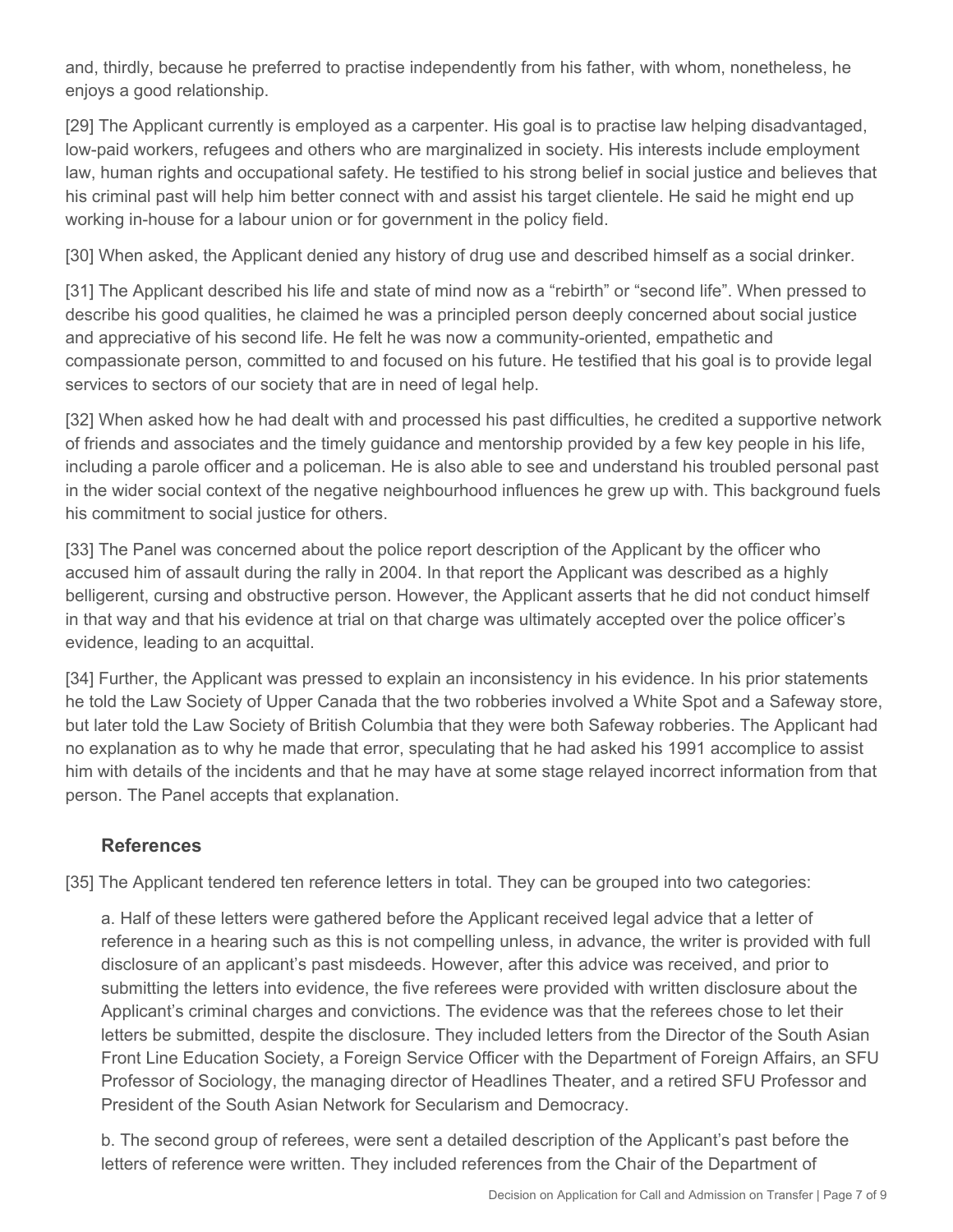and, thirdly, because he preferred to practise independently from his father, with whom, nonetheless, he enjoys a good relationship.

[29] The Applicant currently is employed as a carpenter. His goal is to practise law helping disadvantaged, low-paid workers, refugees and others who are marginalized in society. His interests include employment law, human rights and occupational safety. He testified to his strong belief in social justice and believes that his criminal past will help him better connect with and assist his target clientele. He said he might end up working in-house for a labour union or for government in the policy field.

[30] When asked, the Applicant denied any history of drug use and described himself as a social drinker.

[31] The Applicant described his life and state of mind now as a "rebirth" or "second life". When pressed to describe his good qualities, he claimed he was a principled person deeply concerned about social justice and appreciative of his second life. He felt he was now a community-oriented, empathetic and compassionate person, committed to and focused on his future. He testified that his goal is to provide legal services to sectors of our society that are in need of legal help.

[32] When asked how he had dealt with and processed his past difficulties, he credited a supportive network of friends and associates and the timely guidance and mentorship provided by a few key people in his life, including a parole officer and a policeman. He is also able to see and understand his troubled personal past in the wider social context of the negative neighbourhood influences he grew up with. This background fuels his commitment to social justice for others.

[33] The Panel was concerned about the police report description of the Applicant by the officer who accused him of assault during the rally in 2004. In that report the Applicant was described as a highly belligerent, cursing and obstructive person. However, the Applicant asserts that he did not conduct himself in that way and that his evidence at trial on that charge was ultimately accepted over the police officer's evidence, leading to an acquittal.

[34] Further, the Applicant was pressed to explain an inconsistency in his evidence. In his prior statements he told the Law Society of Upper Canada that the two robberies involved a White Spot and a Safeway store, but later told the Law Society of British Columbia that they were both Safeway robberies. The Applicant had no explanation as to why he made that error, speculating that he had asked his 1991 accomplice to assist him with details of the incidents and that he may have at some stage relayed incorrect information from that person. The Panel accepts that explanation.

## **References**

[35] The Applicant tendered ten reference letters in total. They can be grouped into two categories:

a. Half of these letters were gathered before the Applicant received legal advice that a letter of reference in a hearing such as this is not compelling unless, in advance, the writer is provided with full disclosure of an applicant's past misdeeds. However, after this advice was received, and prior to submitting the letters into evidence, the five referees were provided with written disclosure about the Applicant's criminal charges and convictions. The evidence was that the referees chose to let their letters be submitted, despite the disclosure. They included letters from the Director of the South Asian Front Line Education Society, a Foreign Service Officer with the Department of Foreign Affairs, an SFU Professor of Sociology, the managing director of Headlines Theater, and a retired SFU Professor and President of the South Asian Network for Secularism and Democracy.

b. The second group of referees, were sent a detailed description of the Applicant's past before the letters of reference were written. They included references from the Chair of the Department of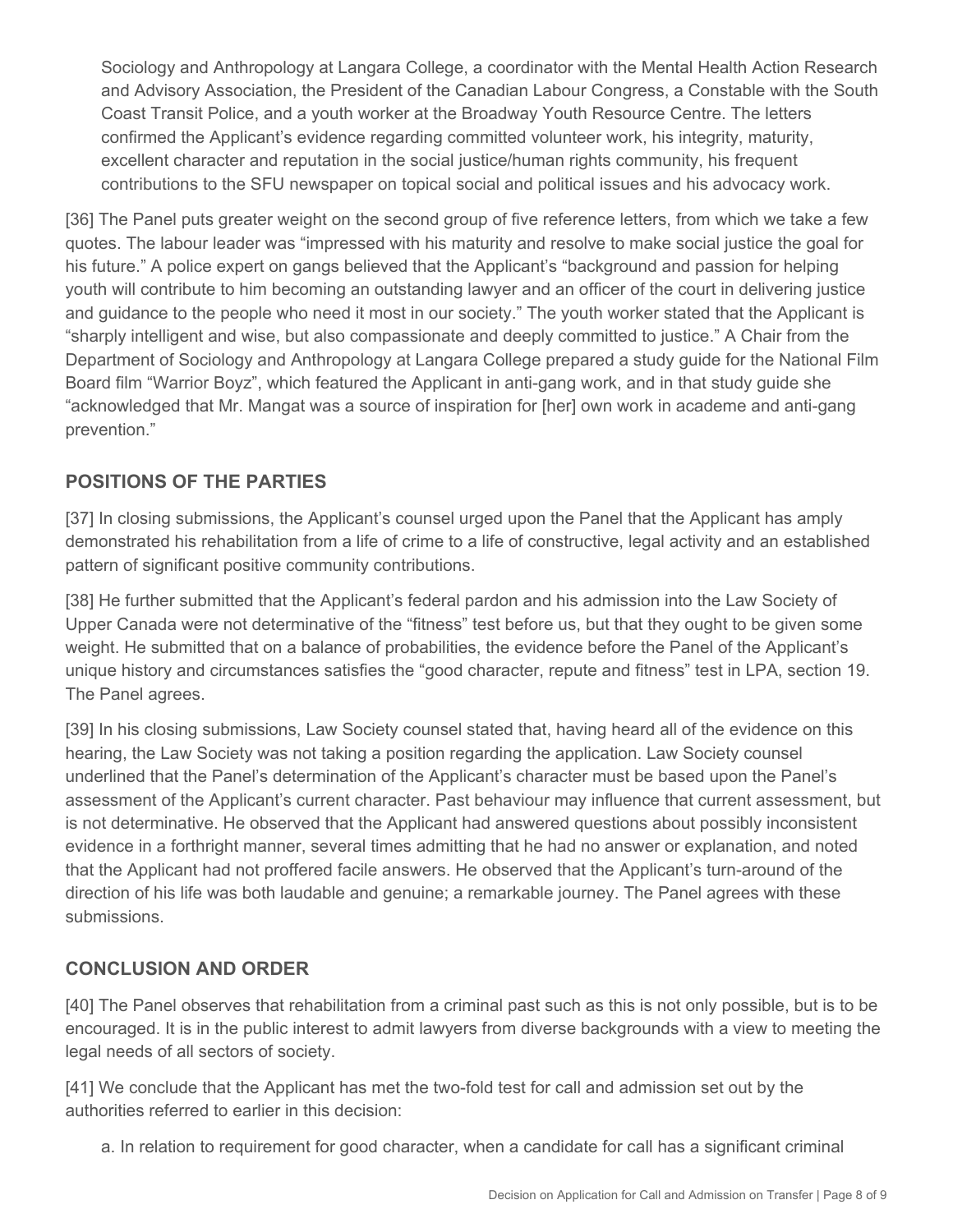Sociology and Anthropology at Langara College, a coordinator with the Mental Health Action Research and Advisory Association, the President of the Canadian Labour Congress, a Constable with the South Coast Transit Police, and a youth worker at the Broadway Youth Resource Centre. The letters confirmed the Applicant's evidence regarding committed volunteer work, his integrity, maturity, excellent character and reputation in the social justice/human rights community, his frequent contributions to the SFU newspaper on topical social and political issues and his advocacy work.

[36] The Panel puts greater weight on the second group of five reference letters, from which we take a few quotes. The labour leader was "impressed with his maturity and resolve to make social justice the goal for his future." A police expert on gangs believed that the Applicant's "background and passion for helping youth will contribute to him becoming an outstanding lawyer and an officer of the court in delivering justice and guidance to the people who need it most in our society." The youth worker stated that the Applicant is "sharply intelligent and wise, but also compassionate and deeply committed to justice." A Chair from the Department of Sociology and Anthropology at Langara College prepared a study guide for the National Film Board film "Warrior Boyz", which featured the Applicant in anti-gang work, and in that study guide she "acknowledged that Mr. Mangat was a source of inspiration for [her] own work in academe and anti-gang prevention."

## **POSITIONS OF THE PARTIES**

[37] In closing submissions, the Applicant's counsel urged upon the Panel that the Applicant has amply demonstrated his rehabilitation from a life of crime to a life of constructive, legal activity and an established pattern of significant positive community contributions.

[38] He further submitted that the Applicant's federal pardon and his admission into the Law Society of Upper Canada were not determinative of the "fitness" test before us, but that they ought to be given some weight. He submitted that on a balance of probabilities, the evidence before the Panel of the Applicant's unique history and circumstances satisfies the "good character, repute and fitness" test in LPA, section 19. The Panel agrees.

[39] In his closing submissions, Law Society counsel stated that, having heard all of the evidence on this hearing, the Law Society was not taking a position regarding the application. Law Society counsel underlined that the Panel's determination of the Applicant's character must be based upon the Panel's assessment of the Applicant's current character. Past behaviour may influence that current assessment, but is not determinative. He observed that the Applicant had answered questions about possibly inconsistent evidence in a forthright manner, several times admitting that he had no answer or explanation, and noted that the Applicant had not proffered facile answers. He observed that the Applicant's turn-around of the direction of his life was both laudable and genuine; a remarkable journey. The Panel agrees with these submissions.

## **CONCLUSION AND ORDER**

[40] The Panel observes that rehabilitation from a criminal past such as this is not only possible, but is to be encouraged. It is in the public interest to admit lawyers from diverse backgrounds with a view to meeting the legal needs of all sectors of society.

[41] We conclude that the Applicant has met the two-fold test for call and admission set out by the authorities referred to earlier in this decision:

a. In relation to requirement for good character, when a candidate for call has a significant criminal